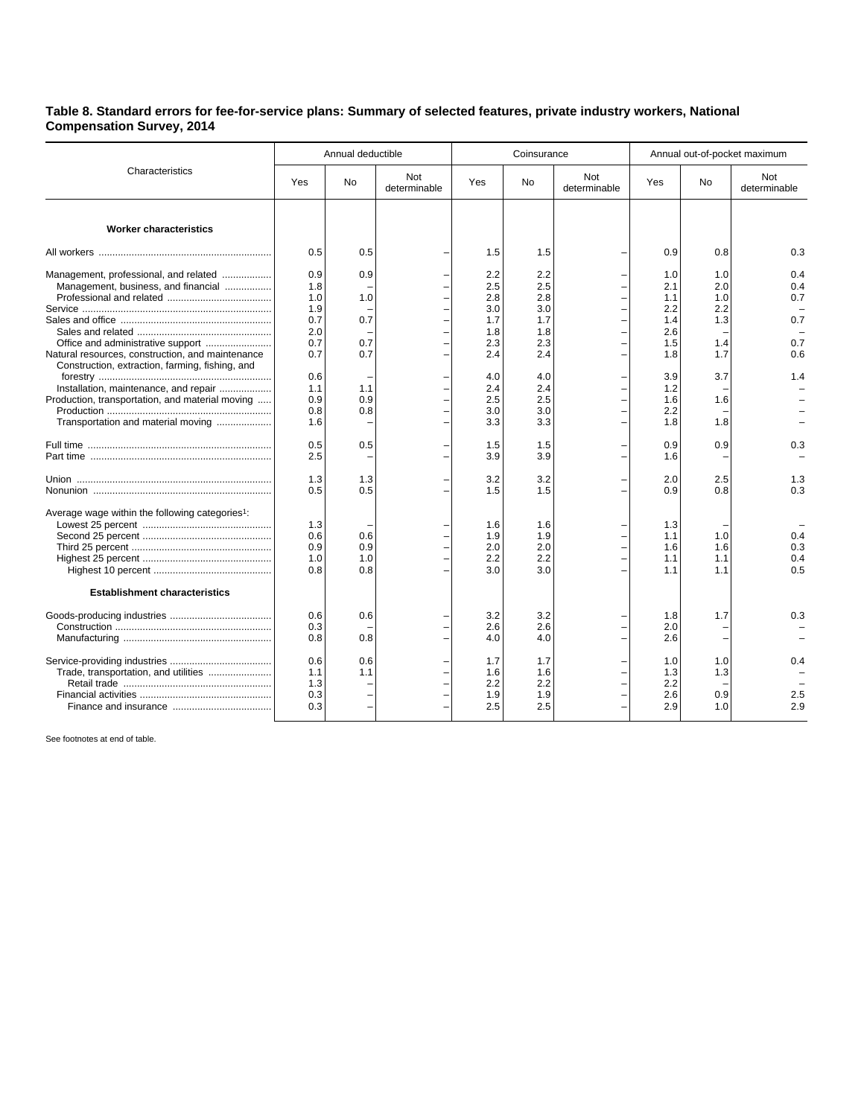## **Table 8. Standard errors for fee-for-service plans: Summary of selected features, private industry workers, National Compensation Survey, 2014**

| Characteristics                                                                                                                                                                   | Annual deductible                                    |                                 |                     |                                                      | Coinsurance                                          |                     | Annual out-of-pocket maximum                         |                                               |                                        |
|-----------------------------------------------------------------------------------------------------------------------------------------------------------------------------------|------------------------------------------------------|---------------------------------|---------------------|------------------------------------------------------|------------------------------------------------------|---------------------|------------------------------------------------------|-----------------------------------------------|----------------------------------------|
|                                                                                                                                                                                   | Yes                                                  | <b>No</b>                       | Not<br>determinable | <b>Yes</b>                                           | No.                                                  | Not<br>determinable | Yes                                                  | <b>No</b>                                     | Not<br>determinable                    |
| <b>Worker characteristics</b>                                                                                                                                                     |                                                      |                                 |                     |                                                      |                                                      |                     |                                                      |                                               |                                        |
|                                                                                                                                                                                   | 0.5                                                  | 0.5                             |                     | 1.5                                                  | 1.5                                                  |                     | 0.9                                                  | 0.8                                           | 0.3                                    |
| Management, professional, and related<br>Management, business, and financial<br>Office and administrative support<br>Natural resources, construction, and maintenance             | 0.9<br>1.8<br>1.0<br>1.9<br>0.7<br>2.0<br>0.7<br>0.7 | 0.9<br>1.0<br>0.7<br>0.7<br>0.7 |                     | 2.2<br>2.5<br>2.8<br>3.0<br>1.7<br>1.8<br>2.3<br>2.4 | 2.2<br>2.5<br>2.8<br>3.0<br>1.7<br>1.8<br>2.3<br>2.4 |                     | 1.0<br>2.1<br>1.1<br>2.2<br>1.4<br>2.6<br>1.5<br>1.8 | 1.0<br>2.0<br>1.0<br>2.2<br>1.3<br>1.4<br>1.7 | 0.4<br>0.4<br>0.7<br>0.7<br>0.7<br>0.6 |
| Construction, extraction, farming, fishing, and<br>Installation, maintenance, and repair<br>Production, transportation, and material moving<br>Transportation and material moving | 0.6<br>1.1<br>0.9<br>0.8<br>1.6                      | 1.1<br>0.9<br>0.8               |                     | 4.0<br>2.4<br>2.5<br>3.0<br>3.3                      | 4.0<br>2.4<br>2.5<br>3.0<br>3.3                      |                     | 3.9<br>1.2<br>1.6<br>2.2<br>1.8                      | 3.7<br>1.6<br>1.8                             | 1.4                                    |
|                                                                                                                                                                                   | 0.5<br>2.5                                           | 0.5                             |                     | 1.5<br>3.9                                           | 1.5<br>3.9                                           |                     | 0.9<br>1.6                                           | 0.9                                           | 0.3                                    |
|                                                                                                                                                                                   | 1.3<br>0.5                                           | 1.3<br>0.5                      |                     | 3.2<br>1.5                                           | 3.2<br>1.5                                           |                     | 2.0<br>0.9                                           | 2.5<br>0.8                                    | 1.3<br>0.3                             |
| Average wage within the following categories <sup>1</sup> :                                                                                                                       | 1.3<br>0.6<br>0.9<br>1.0<br>0.8                      | 0.6<br>0.9<br>1.0<br>0.8        |                     | 1.6<br>1.9<br>2.0<br>2.2<br>3.0                      | 1.6<br>1.9<br>2.0<br>2.2<br>3.0                      |                     | 1.3<br>1.1<br>1.6<br>1.1<br>1.1                      | 1.0<br>1.6<br>1.1<br>1.1                      | 0.4<br>0.3<br>0.4<br>0.5               |
| <b>Establishment characteristics</b>                                                                                                                                              |                                                      |                                 |                     |                                                      |                                                      |                     |                                                      |                                               |                                        |
|                                                                                                                                                                                   | 0.6<br>0.3<br>0.8                                    | 0.6<br>0.8                      |                     | 3.2<br>2.6<br>4.0                                    | 3.2<br>2.6<br>4.0                                    |                     | 1.8<br>2.0<br>2.6                                    | 1.7                                           | 0.3                                    |
|                                                                                                                                                                                   | 0.6<br>1.1<br>1.3<br>0.3<br>0.3                      | 0.6<br>1.1                      |                     | 1.7<br>1.6<br>2.2<br>1.9<br>2.5                      | 1.7<br>1.6<br>2.2<br>1.9<br>2.5                      |                     | 1.0<br>1.3<br>2.2<br>2.6<br>2.9                      | 1.0<br>1.3<br>0.9<br>1.0                      | 0.4<br>2.5<br>2.9                      |

See footnotes at end of table.